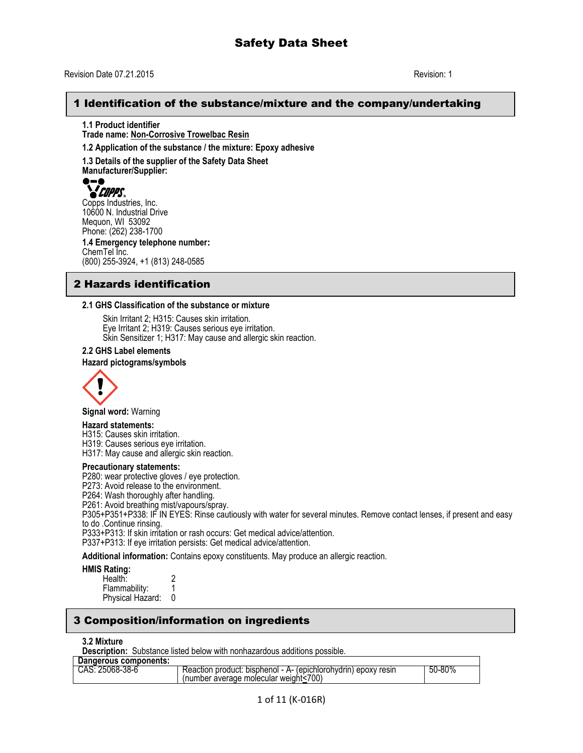## 1 Identification of the substance/mixture and the company/undertaking

**1.1 Product identifier Trade name: Non-Corrosive Trowelbac Resin**

**1.2 Application of the substance / the mixture: Epoxy adhesive**

**1.3 Details of the supplier of the Safety Data Sheet Manufacturer/Supplier:**

**COPPS**<br>Copps Industries, Inc. 10600 N. Industrial Drive Mequon, WI 53092 Phone: (262) 238-1700 **1.4 Emergency telephone number:** ChemTel Inc. (800) 255-3924, +1 (813) 248-0585

## 2 Hazards identification

#### **2.1 GHS Classification of the substance or mixture**

Skin Irritant 2; H315: Causes skin irritation. Eye Irritant 2; H319: Causes serious eye irritation. Skin Sensitizer 1; H317: May cause and allergic skin reaction.

#### **2.2 GHS Label elements**

#### **Hazard pictograms/symbols**



**Signal word:** Warning

#### **Hazard statements:**

H315: Causes skin irritation.

H319: Causes serious eye irritation.

H317: May cause and allergic skin reaction.

#### **Precautionary statements:**

P280: wear protective gloves / eye protection.

P273: Avoid release to the environment.

P264: Wash thoroughly after handling.

P261: Avoid breathing mist/vapours/spray.

P305+P351+P338: IF IN EYES: Rinse cautiously with water for several minutes. Remove contact lenses, if present and easy to do .Continue rinsing.

P333+P313: If skin irritation or rash occurs: Get medical advice/attention.

P337+P313: If eye irritation persists: Get medical advice/attention.

**Additional information:** Contains epoxy constituents. May produce an allergic reaction.

#### **HMIS Rating:**

| Health:          |  |
|------------------|--|
| Flammability:    |  |
| Physical Hazard: |  |

## 3 Composition/information on ingredients

#### **3.2 Mixture**

**Description:** Substance listed below with nonhazardous additions possible.

| Dangerous components: |                                                                                                           |        |
|-----------------------|-----------------------------------------------------------------------------------------------------------|--------|
| CAS: 25068-38-6       | Reaction product: bisphenol - A- (epichlorohydrin) epoxy resin<br>(number average molecular weight < 700) | 50-80% |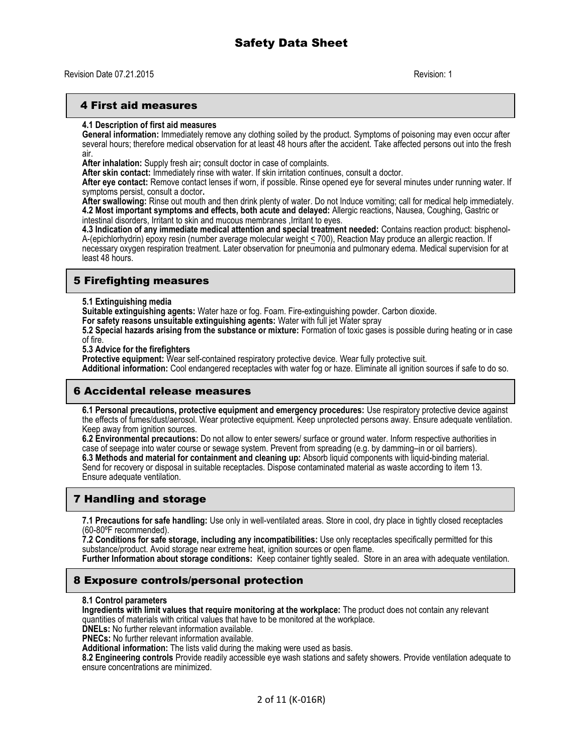### 4 First aid measures

#### **4.1 Description of first aid measures**

**General information:** Immediately remove any clothing soiled by the product. Symptoms of poisoning may even occur after several hours; therefore medical observation for at least 48 hours after the accident. Take affected persons out into the fresh air.

**After inhalation:** Supply fresh air**;** consult doctor in case of complaints.

**After skin contact:** Immediately rinse with water. If skin irritation continues, consult a doctor.

**After eye contact:** Remove contact lenses if worn, if possible. Rinse opened eye for several minutes under running water. If symptoms persist, consult a doctor**.**

**After swallowing:** Rinse out mouth and then drink plenty of water. Do not Induce vomiting; call for medical help immediately. **4.2 Most important symptoms and effects, both acute and delayed:** Allergic reactions, Nausea, Coughing, Gastric or intestinal disorders, Irritant to skin and mucous membranes ,Irritant to eyes.

**4.3 Indication of any immediate medical attention and special treatment needed:** Contains reaction product: bisphenol-A-(epichlorhydrin) epoxy resin (number average molecular weight < 700), Reaction May produce an allergic reaction. If necessary oxygen respiration treatment. Later observation for pneumonia and pulmonary edema. Medical supervision for at least 48 hours.

## 5 Firefighting measures

#### **5.1 Extinguishing media**

**Suitable extinguishing agents:** Water haze or fog. Foam. Fire-extinguishing powder. Carbon dioxide.

**For safety reasons unsuitable extinguishing agents:** Water with full jet Water spray

**5.2 Special hazards arising from the substance or mixture:** Formation of toxic gases is possible during heating or in case of fire.

**5.3 Advice for the firefighters**

**Protective equipment:** Wear self-contained respiratory protective device. Wear fully protective suit.

**Additional information:** Cool endangered receptacles with water fog or haze. Eliminate all ignition sources if safe to do so.

## 6 Accidental release measures

**6.1 Personal precautions, protective equipment and emergency procedures:** Use respiratory protective device against the effects of fumes/dust/aerosol. Wear protective equipment. Keep unprotected persons away. Ensure adequate ventilation. Keep away from ignition sources.

**6.2 Environmental precautions:** Do not allow to enter sewers/ surface or ground water. Inform respective authorities in case of seepage into water course or sewage system. Prevent from spreading (e.g. by damming–in or oil barriers). **6.3 Methods and material for containment and cleaning up:** Absorb liquid components with liquid-binding material. Send for recovery or disposal in suitable receptacles. Dispose contaminated material as waste according to item 13. Ensure adequate ventilation.

## 7 Handling and storage

**7.1 Precautions for safe handling:** Use only in well-ventilated areas. Store in cool, dry place in tightly closed receptacles (60-80ºF recommended).

**7.2 Conditions for safe storage, including any incompatibilities:** Use only receptacles specifically permitted for this substance/product. Avoid storage near extreme heat, ignition sources or open flame.

**Further Information about storage conditions:** Keep container tightly sealed. Store in an area with adequate ventilation.

## 8 Exposure controls/personal protection

#### **8.1 Control parameters**

**Ingredients with limit values that require monitoring at the workplace:** The product does not contain any relevant quantities of materials with critical values that have to be monitored at the workplace.

**DNELs:** No further relevant information available.

**PNECs:** No further relevant information available.

**Additional information:** The lists valid during the making were used as basis.

**8.2 Engineering controls** Provide readily accessible eye wash stations and safety showers. Provide ventilation adequate to ensure concentrations are minimized.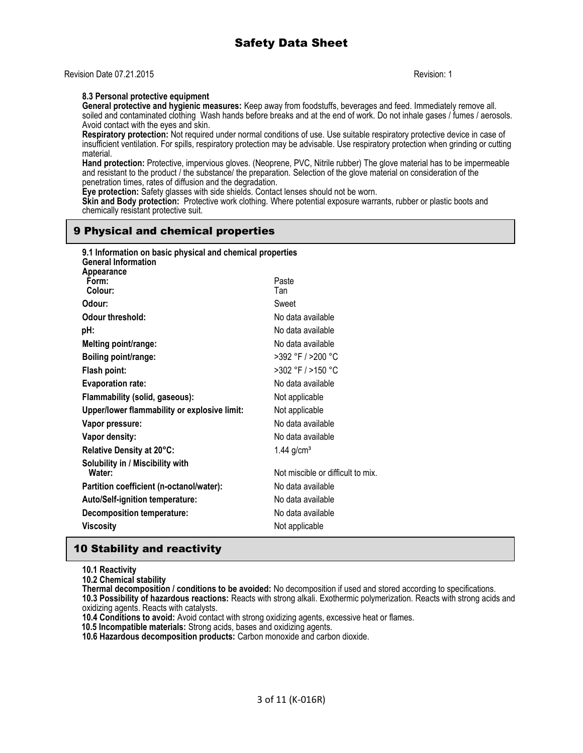### **8.3 Personal protective equipment**

**General protective and hygienic measures:** Keep away from foodstuffs, beverages and feed. Immediately remove all. soiled and contaminated clothing Wash hands before breaks and at the end of work. Do not inhale gases / fumes / aerosols. Avoid contact with the eyes and skin.

**Respiratory protection:** Not required under normal conditions of use. Use suitable respiratory protective device in case of insufficient ventilation. For spills, respiratory protection may be advisable. Use respiratory protection when grinding or cutting material.

**Hand protection:** Protective, impervious gloves. (Neoprene, PVC, Nitrile rubber) The glove material has to be impermeable and resistant to the product / the substance/ the preparation. Selection of the glove material on consideration of the penetration times, rates of diffusion and the degradation.

**Eye protection:** Safety glasses with side shields. Contact lenses should not be worn.

**Skin and Body protection:** Protective work clothing. Where potential exposure warrants, rubber or plastic boots and chemically resistant protective suit.

## 9 Physical and chemical properties

| 9.1 Information on basic physical and chemical properties<br><b>General Information</b><br>Appearance |                                   |
|-------------------------------------------------------------------------------------------------------|-----------------------------------|
| Form:                                                                                                 | Paste                             |
| Colour:                                                                                               | Tan                               |
| Odour:                                                                                                | Sweet                             |
| Odour threshold:                                                                                      | No data available                 |
| pH:                                                                                                   | No data available                 |
| Melting point/range:                                                                                  | No data available                 |
| Boiling point/range:                                                                                  | >392 °F / >200 °C                 |
| Flash point:                                                                                          | >302 °F / >150 °C                 |
| <b>Evaporation rate:</b>                                                                              | No data available                 |
| Flammability (solid, gaseous):                                                                        | Not applicable                    |
| Upper/lower flammability or explosive limit:                                                          | Not applicable                    |
| Vapor pressure:                                                                                       | No data available                 |
| Vapor density:                                                                                        | No data available                 |
| Relative Density at 20°C:                                                                             | $1.44$ g/cm <sup>3</sup>          |
| Solubility in / Miscibility with<br>Water:                                                            | Not miscible or difficult to mix. |
|                                                                                                       |                                   |
| Partition coefficient (n-octanol/water):                                                              | No data available                 |
| Auto/Self-ignition temperature:                                                                       | No data available                 |
| <b>Decomposition temperature:</b>                                                                     | No data available                 |
| <b>Viscosity</b>                                                                                      | Not applicable                    |

## 10 Stability and reactivity

**10.1 Reactivity**

**10.2 Chemical stability**

**Thermal decomposition / conditions to be avoided:** No decomposition if used and stored according to specifications. **10.3 Possibility of hazardous reactions:** Reacts with strong alkali. Exothermic polymerization. Reacts with strong acids and oxidizing agents. Reacts with catalysts.

**10.4 Conditions to avoid:** Avoid contact with strong oxidizing agents, excessive heat or flames.

 **10.5 Incompatible materials:** Strong acids, bases and oxidizing agents.

**10.6 Hazardous decomposition products:** Carbon monoxide and carbon dioxide.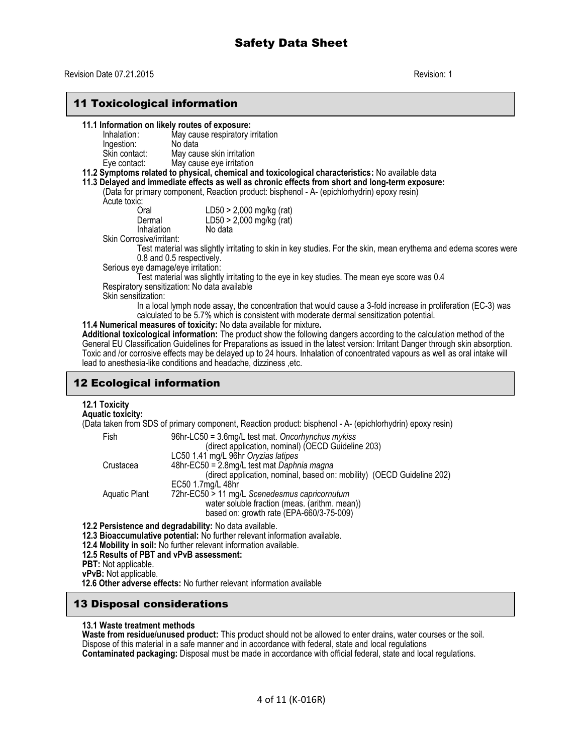## 11 Toxicological information

#### **11.1 Information on likely routes of exposure:**

| Inhalation:<br>Ingestion: | May cause respiratory irritation<br>No data                                                    |
|---------------------------|------------------------------------------------------------------------------------------------|
| Skin contact:             | May cause skin irritation                                                                      |
| Eye contact:              | May cause eye irritation<br>يتمة امعرم الممالحة والمسامي الممالحة والمستقطعا ويستقطع ويستعفروا |

#### **11.2 Symptoms related to physical, chemical and toxicological characteristics:** No available data

**11.3 Delayed and immediate effects as well as chronic effects from short and long-term exposure:** 

(Data for primary component, Reaction product: bisphenol - A- (epichlorhydrin) epoxy resin) Acute toxic:

| Oral       | LD50 > 2,000 mg/kg (rat)   |
|------------|----------------------------|
| Dermal     | $LD50 > 2,000$ mg/kg (rat) |
| Inhalation | No data                    |

Skin Corrosive/irritant:

Test material was slightly irritating to skin in key studies. For the skin, mean erythema and edema scores were 0.8 and 0.5 respectively.

Serious eye damage/eye irritation:

Test material was slightly irritating to the eye in key studies. The mean eye score was 0.4 Respiratory sensitization: No data available

Skin sensitization:

In a local lymph node assay, the concentration that would cause a 3-fold increase in proliferation (EC-3) was calculated to be 5.7% which is consistent with moderate dermal sensitization potential.

**11.4 Numerical measures of toxicity:** No data available for mixture**.**

**Additional toxicological information:** The product show the following dangers according to the calculation method of the General EU Classification Guidelines for Preparations as issued in the latest version: Irritant Danger through skin absorption. Toxic and /or corrosive effects may be delayed up to 24 hours. Inhalation of concentrated vapours as well as oral intake will lead to anesthesia-like conditions and headache, dizziness ,etc.

## 12 Ecological information

# **12.1 Toxicity**

**Aquatic toxicity:**

(Data taken from SDS of primary component, Reaction product: bisphenol - A- (epichlorhydrin) epoxy resin)

| Fish          | 96hr-LC50 = 3.6mg/L test mat. Oncorhynchus mykiss                      |
|---------------|------------------------------------------------------------------------|
|               | (direct application, nominal) (OECD Guideline 203)                     |
|               | LC50 1.41 mg/L 96hr Oryzias latipes                                    |
| Crustacea     | 48hr-EC50 = 2.8mg/L test mat Daphnia magna                             |
|               | (direct application, nominal, based on: mobility) (OECD Guideline 202) |
|               | EC50 1.7mg/L 48hr                                                      |
| Aquatic Plant | 72hr-EC50 > 11 mg/L Scenedesmus capricornutum                          |
|               | water soluble fraction (meas. (arithm. mean))                          |
|               | based on: growth rate (EPA-660/3-75-009)                               |
|               | Persistence and degradability: No data available                       |

**12.2 Persistence and degradability:** No data available.

**12.3 Bioaccumulative potential:** No further relevant information available.

- **12.4 Mobility in soil:** No further relevant information available.
- **12.5 Results of PBT and vPvB assessment:**

**PBT:** Not applicable.

**vPvB:** Not applicable.

 **12.6 Other adverse effects:** No further relevant information available

## 13 Disposal considerations

**13.1 Waste treatment methods**

**Waste from residue/unused product:** This product should not be allowed to enter drains, water courses or the soil. Dispose of this material in a safe manner and in accordance with federal, state and local regulations **Contaminated packaging:** Disposal must be made in accordance with official federal, state and local regulations.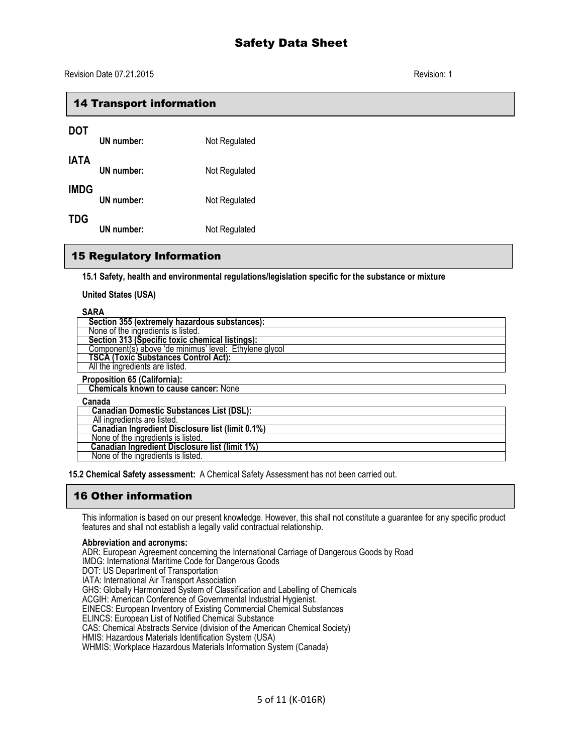| <b>14 Transport information</b> |                   |               |
|---------------------------------|-------------------|---------------|
| <b>DOT</b>                      | UN number:        | Not Regulated |
| <b>IATA</b>                     | UN number:        | Not Regulated |
| <b>IMDG</b>                     | UN number:        | Not Regulated |
| <b>TDG</b>                      | <b>UN</b> number: | Not Regulated |

## 15 Regulatory Information

**15.1 Safety, health and environmental regulations/legislation specific for the substance or mixture**

**United States (USA)**

| <b>SARA</b>                                            |
|--------------------------------------------------------|
| Section 355 (extremely hazardous substances):          |
| None of the ingredients is listed.                     |
| Section 313 (Špecific toxic chemical listings):        |
| Component(s) above 'de minimus' level: Ethylene glycol |
| <b>TSCA (Toxic Substances Control Act):</b>            |
| All the ingredients are listed.                        |
| <b>Proposition 65 (California):</b>                    |
| <b>Chemicals known to cause cancer: None</b>           |
| Canada                                                 |
| <b>Canadian Domestic Substances List (DSL):</b>        |
| All ingredients are listed.                            |
| Canadian Ingredient Disclosure list (limit 0.1%)       |
| None of the ingredients is listed.                     |
| <b>Canadian Ingredient Disclosure list (limit 1%)</b>  |
| None of the ingredients is listed.                     |

**15.2 Chemical Safety assessment:** A Chemical Safety Assessment has not been carried out.

## 16 Other information

This information is based on our present knowledge. However, this shall not constitute a guarantee for any specific product features and shall not establish a legally valid contractual relationship.

#### **Abbreviation and acronyms:**

ADR: European Agreement concerning the International Carriage of Dangerous Goods by Road

- IMDG: International Maritime Code for Dangerous Goods
- DOT: US Department of Transportation

IATA: International Air Transport Association

GHS: Globally Harmonized System of Classification and Labelling of Chemicals

ACGIH: American Conference of Governmental Industrial Hygienist.

EINECS: European Inventory of Existing Commercial Chemical Substances

ELINCS: European List of Notified Chemical Substance

CAS: Chemical Abstracts Service (division of the American Chemical Society)

HMIS: Hazardous Materials Identification System (USA)

WHMIS: Workplace Hazardous Materials Information System (Canada)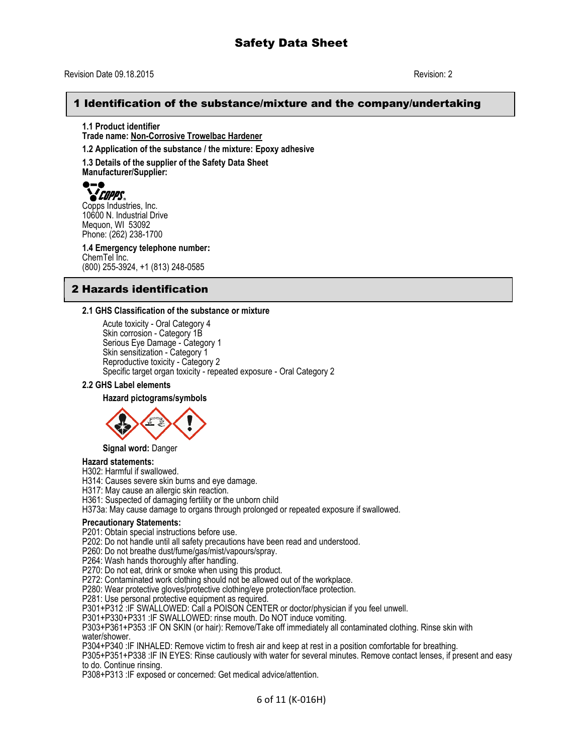## 1 Identification of the substance/mixture and the company/undertaking

**1.1 Product identifier Trade name: Non-Corrosive Trowelbac Hardener**

**1.2 Application of the substance / the mixture: Epoxy adhesive**

**1.3 Details of the supplier of the Safety Data Sheet Manufacturer/Supplier:**

**COPPS**<br>Copps Industries, Inc. 10600 N. Industrial Drive Mequon, WI 53092 Phone: (262) 238-1700

**1.4 Emergency telephone number:** ChemTel Inc. (800) 255-3924, +1 (813) 248-0585

## 2 Hazards identification

### **2.1 GHS Classification of the substance or mixture**

Acute toxicity - Oral Category 4 Skin corrosion - Category 1B Serious Eye Damage - Category 1 Skin sensitization - Category 1 Reproductive toxicity - Category 2 Specific target organ toxicity - repeated exposure - Oral Category 2

#### **2.2 GHS Label elements**

#### **Hazard pictograms/symbols**



#### **Signal word:** Danger

#### **Hazard statements:**

H302: Harmful if swallowed.

H314: Causes severe skin burns and eye damage.

H317: May cause an allergic skin reaction.

H361: Suspected of damaging fertility or the unborn child

H373a: May cause damage to organs through prolonged or repeated exposure if swallowed.

#### **Precautionary Statements:**

P201: Obtain special instructions before use.

P202: Do not handle until all safety precautions have been read and understood.

P260: Do not breathe dust/fume/gas/mist/vapours/spray.

P264: Wash hands thoroughly after handling.

P270: Do not eat, drink or smoke when using this product.

P272: Contaminated work clothing should not be allowed out of the workplace.

P280: Wear protective gloves/protective clothing/eye protection/face protection.

P281: Use personal protective equipment as required.

P301+P312 :IF SWALLOWED: Call a POISON CENTER or doctor/physician if you feel unwell.

P301+P330+P331 :IF SWALLOWED: rinse mouth. Do NOT induce vomiting.

P303+P361+P353 :IF ON SKIN (or hair): Remove/Take off immediately all contaminated clothing. Rinse skin with water/shower.

P304+P340 :IF INHALED: Remove victim to fresh air and keep at rest in a position comfortable for breathing.

P305+P351+P338 :IF IN EYES: Rinse cautiously with water for several minutes. Remove contact lenses, if present and easy to do. Continue rinsing.

P308+P313 :IF exposed or concerned: Get medical advice/attention.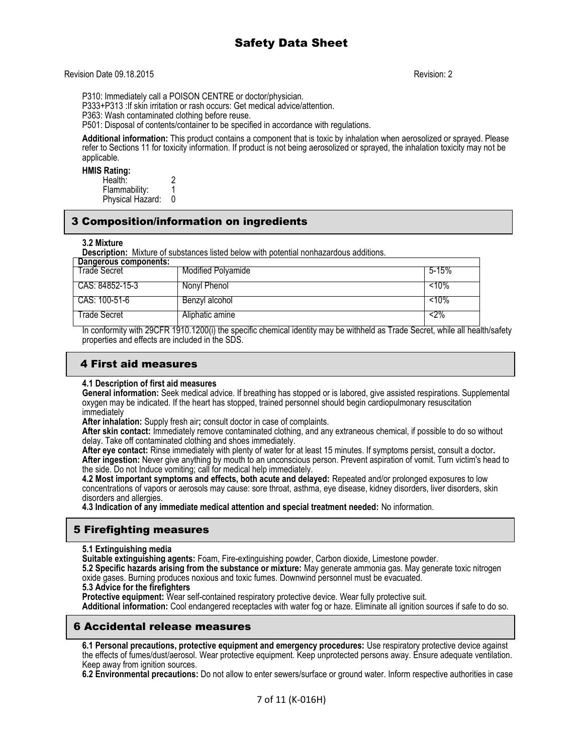P310: Immediately call a POISON CENTRE or doctor/physician.

P333+P313 :If skin irritation or rash occurs: Get medical advice/attention.

P363: Wash contaminated clothing before reuse.

P501: Disposal of contents/container to be specified in accordance with regulations.

**Additional information:** This product contains a component that is toxic by inhalation when aerosolized or sprayed. Please refer to Sections 11 for toxicity information. If product is not being aerosolized or sprayed, the inhalation toxicity may not be applicable.

#### **HMIS Rating:**

Health: 2 Flammability: 1<br>Physical Hazard: 0 Physical Hazard:

## 3 Composition/information on ingredients

#### **3.2 Mixture**

**Description:** Mixture of substances listed below with potential nonhazardous additions.

| Dangerous components: |                           |          |
|-----------------------|---------------------------|----------|
| Trade Secret          | <b>Modified Polyamide</b> | 5-15%    |
| CAS: 84852-15-3       | Nonyl Phenol              | $< 10\%$ |
| CAS: 100-51-6         | Benzyl alcohol            | $< 10\%$ |
| Trade Secret          | Aliphatic amine           | <2%      |

In conformity with 29CFR 1910.1200(i) the specific chemical identity may be withheld as Trade Secret, while all health/safety properties and effects are included in the SDS.

## 4 First aid measures

#### **4.1 Description of first aid measures**

**General information:** Seek medical advice. If breathing has stopped or is labored, give assisted respirations. Supplemental oxygen may be indicated. If the heart has stopped, trained personnel should begin cardiopulmonary resuscitation immediately

**After inhalation:** Supply fresh air**;** consult doctor in case of complaints.

**After skin contact:** Immediately remove contaminated clothing, and any extraneous chemical, if possible to do so without delay. Take off contaminated clothing and shoes immediately.

**After eye contact:** Rinse immediately with plenty of water for at least 15 minutes. If symptoms persist, consult a doctor**. After ingestion:** Never give anything by mouth to an unconscious person. Prevent aspiration of vomit. Turn victim's head to the side. Do not Induce vomiting; call for medical help immediately.

**4.2 Most important symptoms and effects, both acute and delayed:** Repeated and/or prolonged exposures to low concentrations of vapors or aerosols may cause: sore throat, asthma, eye disease, kidney disorders, liver disorders, skin disorders and allergies.

**4.3 Indication of any immediate medical attention and special treatment needed:** No information.

## 5 Firefighting measures

**5.1 Extinguishing media**

**Suitable extinguishing agents:** Foam, Fire-extinguishing powder, Carbon dioxide, Limestone powder.

**5.2 Specific hazards arising from the substance or mixture:** May generate ammonia gas. May generate toxic nitrogen oxide gases. Burning produces noxious and toxic fumes. Downwind personnel must be evacuated.

**5.3 Advice for the firefighters**

Protective equipment: Wear self-contained respiratory protective device. Wear fully protective suit.

**Additional information:** Cool endangered receptacles with water fog or haze. Eliminate all ignition sources if safe to do so.

## 6 Accidental release measures

**6.1 Personal precautions, protective equipment and emergency procedures:** Use respiratory protective device against the effects of fumes/dust/aerosol. Wear protective equipment. Keep unprotected persons away. Ensure adequate ventilation. Keep away from ignition sources.

**6.2 Environmental precautions:** Do not allow to enter sewers/surface or ground water. Inform respective authorities in case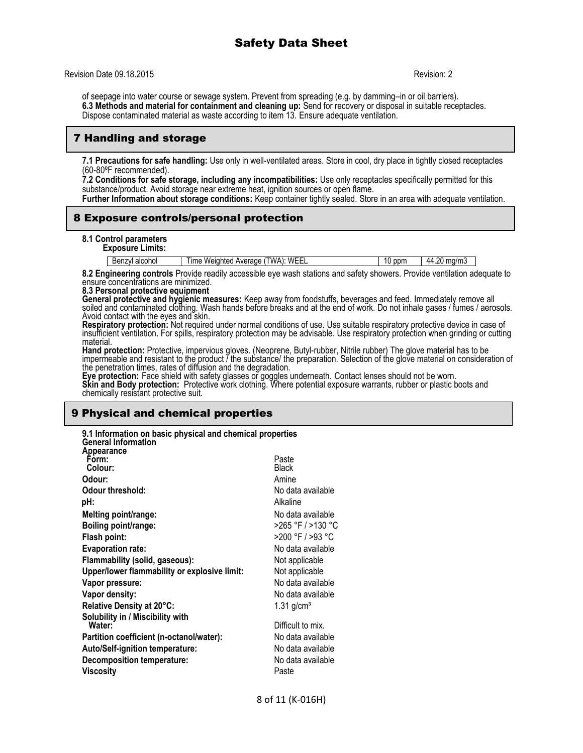# Safety Data Sheet

Revision Date 09.18.2015 Revision: 2

of seepage into water course or sewage system. Prevent from spreading (e.g. by damming–in or oil barriers). **6.3 Methods and material for containment and cleaning up:** Send for recovery or disposal in suitable receptacles. Dispose contaminated material as waste according to item 13. Ensure adequate ventilation.

## 7 Handling and storage

**7.1 Precautions for safe handling:** Use only in well-ventilated areas. Store in cool, dry place in tightly closed receptacles (60-80ºF recommended).

**7.2 Conditions for safe storage, including any incompatibilities:** Use only receptacles specifically permitted for this substance/product. Avoid storage near extreme heat, ignition sources or open flame.

**Further Information about storage conditions:** Keep container tightly sealed. Store in an area with adequate ventilation.

## 8 Exposure controls/personal protection

#### **8.1 Control parameters**

**Exposure Limits:**

| Benzyl alcohol | TWA): WEEL<br>Time Weighted Average ( | 10 <sub>1</sub><br><b>ppm</b> | 44.20 mg/m3 |
|----------------|---------------------------------------|-------------------------------|-------------|

**8.2 Engineering controls** Provide readily accessible eye wash stations and safety showers. Provide ventilation adequate to ensure concentrations are minimized.

#### **8.3 Personal protective equipment**

**General protective and hygienic measures:** Keep away from foodstuffs, beverages and feed. Immediately remove all soiled and contaminated clothing. Wash hands before breaks and at the end of work. Do not inhale gases / fumes / aerosols. Avoid contact with the eyes and skin.

**Respiratory protection:** Not required under normal conditions of use. Use suitable respiratory protective device in case of insufficient ventilation. For spills, respiratory protection may be advisable. Use respiratory protection when grinding or cutting material.

**Hand protection:** Protective, impervious gloves. (Neoprene, Butyl-rubber, Nitrile rubber) The glove material has to be impermeable and resistant to the product / the substance/ the preparation. Selection of the glove material on consideration of the penetration times, rates of diffusion and the degradation.

**Eye protection:** Face shield with safety glasses or goggles underneath. Contact lenses should not be worn. **Skin and Body protection:** Protective work clothing. Where potential exposure warrants, rubber or plastic boots and chemically resistant protective suit.

## 9 Physical and chemical properties

| 9.1 Information on basic physical and chemical properties<br><b>General Information</b> |                          |
|-----------------------------------------------------------------------------------------|--------------------------|
| Appearance                                                                              |                          |
| Form:                                                                                   | Paste                    |
| Colour:                                                                                 | <b>Black</b>             |
| Odour:                                                                                  | Amine                    |
| Odour threshold:                                                                        | No data available        |
| pH:                                                                                     | Alkaline                 |
| Melting point/range:                                                                    | No data available        |
| Boiling point/range:                                                                    | >265 °F / >130 °C        |
| Flash point:                                                                            | >200 °F / >93 °C         |
| <b>Evaporation rate:</b>                                                                | No data available        |
| Flammability (solid, gaseous):                                                          | Not applicable           |
| Upper/lower flammability or explosive limit:                                            | Not applicable           |
| Vapor pressure:                                                                         | No data available        |
| Vapor density:                                                                          | No data available        |
| Relative Density at 20°C:                                                               | $1.31$ g/cm <sup>3</sup> |
| Solubility in / Miscibility with                                                        |                          |
| Water:                                                                                  | Difficult to mix.        |
| Partition coefficient (n-octanol/water):                                                | No data available        |
| Auto/Self-ignition temperature:                                                         | No data available        |
| <b>Decomposition temperature:</b>                                                       | No data available        |
| Viscosity                                                                               | Paste                    |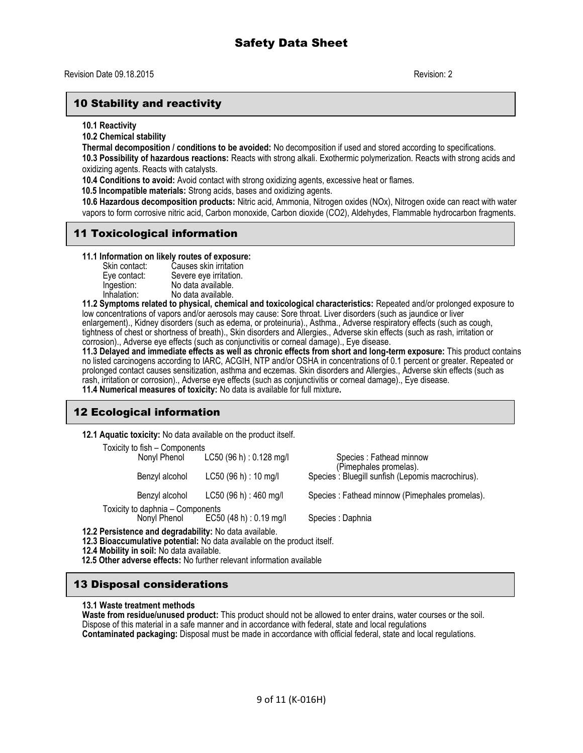## 10 Stability and reactivity

**10.1 Reactivity**

**10.2 Chemical stability**

**Thermal decomposition / conditions to be avoided:** No decomposition if used and stored according to specifications.

**10.3 Possibility of hazardous reactions:** Reacts with strong alkali. Exothermic polymerization. Reacts with strong acids and oxidizing agents. Reacts with catalysts.

**10.4 Conditions to avoid:** Avoid contact with strong oxidizing agents, excessive heat or flames.

 **10.5 Incompatible materials:** Strong acids, bases and oxidizing agents.

**10.6 Hazardous decomposition products:** Nitric acid, Ammonia, Nitrogen oxides (NOx), Nitrogen oxide can react with water vapors to form corrosive nitric acid, Carbon monoxide, Carbon dioxide (CO2), Aldehydes, Flammable hydrocarbon fragments.

## 11 Toxicological information

**11.1 Information on likely routes of exposure:**

| Skin contact: | Causes skin irritation |
|---------------|------------------------|
| Eye contact:  | Severe eye irritation. |
| Ingestion:    | No data available.     |
| Inhalation:   | No data available.     |

**11.2 Symptoms related to physical, chemical and toxicological characteristics:** Repeated and/or prolonged exposure to low concentrations of vapors and/or aerosols may cause: Sore throat. Liver disorders (such as jaundice or liver enlargement)., Kidney disorders (such as edema, or proteinuria)., Asthma., Adverse respiratory effects (such as cough, tightness of chest or shortness of breath)., Skin disorders and Allergies., Adverse skin effects (such as rash, irritation or corrosion)., Adverse eye effects (such as conjunctivitis or corneal damage)., Eye disease.

**11.3 Delayed and immediate effects as well as chronic effects from short and long-term exposure:** This product contains no listed carcinogens according to IARC, ACGIH, NTP and/or OSHA in concentrations of 0.1 percent or greater. Repeated or prolonged contact causes sensitization, asthma and eczemas. Skin disorders and Allergies., Adverse skin effects (such as rash, irritation or corrosion)., Adverse eye effects (such as conjunctivitis or corneal damage)., Eye disease. **11.4 Numerical measures of toxicity:** No data is available for full mixture**.** 

# 12 Ecological information

**12.1 Aquatic toxicity:** No data available on the product itself.

| Toxicity to fish - Components    |                                      |                                                   |
|----------------------------------|--------------------------------------|---------------------------------------------------|
| Nonyl Phenol                     | $LC50$ (96 h) : 0.128 mg/l           | Species: Fathead minnow                           |
|                                  |                                      | (Pimephales promelas).                            |
| Benzyl alcohol                   | $LC50$ (96 h) : 10 mg/l              | Species : Bluegill sunfish (Lepomis macrochirus). |
|                                  |                                      | Species : Fathead minnow (Pimephales promelas).   |
| Benzyl alcohol                   | LC50(96 h) : 460 mg/l                |                                                   |
| Toxicity to daphnia - Components |                                      |                                                   |
|                                  | Nonyl Phenol EC50 (48 h) : 0.19 mg/l | Species : Daphnia                                 |
|                                  |                                      |                                                   |

**12.2 Persistence and degradability:** No data available.

**12.3 Bioaccumulative potential:** No data available on the product itself.

**12.4 Mobility in soil:** No data available.

 **12.5 Other adverse effects:** No further relevant information available

## 13 Disposal considerations

#### **13.1 Waste treatment methods**

**Waste from residue/unused product:** This product should not be allowed to enter drains, water courses or the soil. Dispose of this material in a safe manner and in accordance with federal, state and local regulations **Contaminated packaging:** Disposal must be made in accordance with official federal, state and local regulations.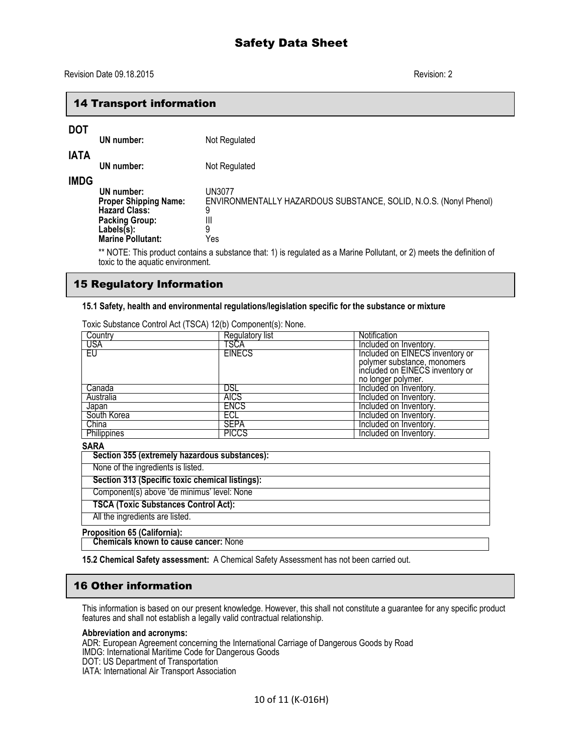## 14 Transport information

# **DOT**

| וטע         | UN number:                                                                                                                               | Not Regulated                                                                                     |
|-------------|------------------------------------------------------------------------------------------------------------------------------------------|---------------------------------------------------------------------------------------------------|
| <b>IATA</b> | UN number:                                                                                                                               | Not Regulated                                                                                     |
| <b>IMDG</b> | UN number:<br><b>Proper Shipping Name:</b><br><b>Hazard Class:</b><br><b>Packing Group:</b><br>$Labels(s)$ :<br><b>Marine Pollutant:</b> | UN3077<br>ENVIRONMENTALLY HAZARDOUS SUBSTANCE, SOLID, N.O.S. (Nonyl Phenol)<br>9<br>Ш<br>9<br>Yes |

\*\* NOTE: This product contains a substance that: 1) is regulated as a Marine Pollutant, or 2) meets the definition of toxic to the aquatic environment.

### 15 Regulatory Information

#### **15.1 Safety, health and environmental regulations/legislation specific for the substance or mixture**

| Country            | <b>Regulatory list</b> | Notification                    |
|--------------------|------------------------|---------------------------------|
| <b>USA</b>         | TSCA                   | Included on Inventory.          |
| ΈU                 | <b>EINECS</b>          | Included on EINECS inventory or |
|                    |                        | polymer substance, monomers     |
|                    |                        | included on EINECS inventory or |
|                    |                        | no longer polymer.              |
| Canada             | DSL                    | Included on Inventory.          |
| Australia          | <b>AICS</b>            | Included on Inventory.          |
| Japan              | <b>ENCS</b>            | Included on Inventory.          |
| South Korea        | ECL                    | Included on Inventory.          |
| China              | <b>SEPA</b>            | Included on Inventory.          |
| <b>Philippines</b> | <b>PICCS</b>           | Included on Inventory.          |
| <b>CADA</b>        |                        |                                 |

Toxic Substance Control Act (TSCA) 12(b) Component(s): None.

### **SARA**

| Section 355 (extremely hazardous substances):   |
|-------------------------------------------------|
| None of the ingredients is listed.              |
| Section 313 (Specific toxic chemical listings): |
| Component(s) above 'de minimus' level: None     |
| <b>TSCA (Toxic Substances Control Act):</b>     |
| All the ingredients are listed.                 |

## **Proposition 65 (California):**

 **Chemicals known to cause cancer:** None

**15.2 Chemical Safety assessment:** A Chemical Safety Assessment has not been carried out.

## 16 Other information

This information is based on our present knowledge. However, this shall not constitute a guarantee for any specific product features and shall not establish a legally valid contractual relationship.

## **Abbreviation and acronyms:**

ADR: European Agreement concerning the International Carriage of Dangerous Goods by Road

IMDG: International Maritime Code for Dangerous Goods

DOT: US Department of Transportation

IATA: International Air Transport Association